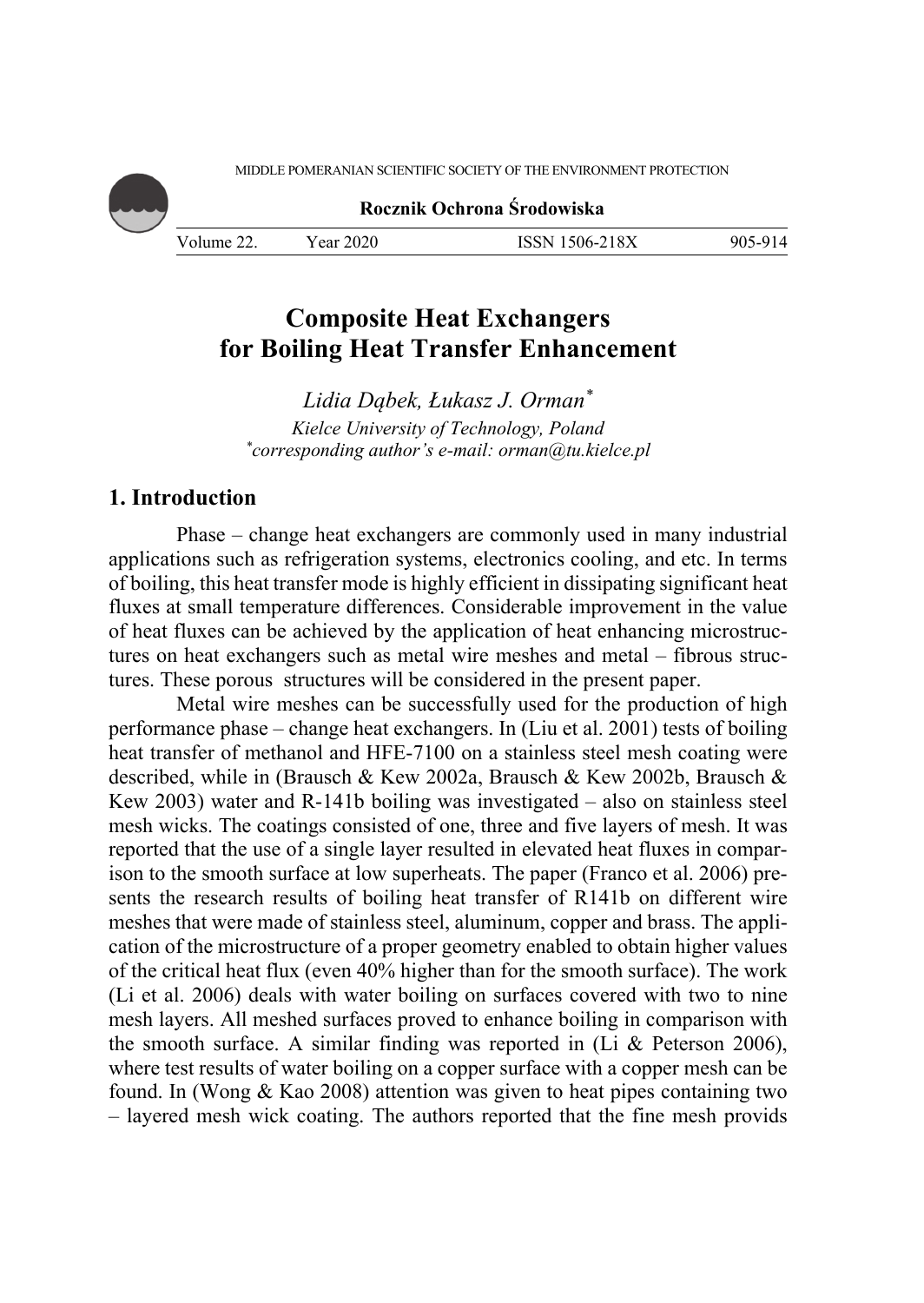MIDDLE POMERANIAN SCIENTIFIC SOCIETY OF THE ENVIRONMENT PROTECTION

**Rocznik Ochrona Środowiska**

Volume 22. Year 2020 ISSN 1506-218X 905-914

# **Composite Heat Exchangers for Boiling Heat Transfer Enhancement**

*Lidia Dąbek, Łukasz J. Orman\* Kielce University of Technology, Poland \* corresponding author's e-mail: orman@tu.kielce.pl* 

### **1. Introduction**

Phase – change heat exchangers are commonly used in many industrial applications such as refrigeration systems, electronics cooling, and etc. In terms of boiling, this heat transfer mode is highly efficient in dissipating significant heat fluxes at small temperature differences. Considerable improvement in the value of heat fluxes can be achieved by the application of heat enhancing microstructures on heat exchangers such as metal wire meshes and metal – fibrous structures. These porous structures will be considered in the present paper.

Metal wire meshes can be successfully used for the production of high performance phase – change heat exchangers. In (Liu et al. 2001) tests of boiling heat transfer of methanol and HFE-7100 on a stainless steel mesh coating were described, while in (Brausch & Kew 2002a, Brausch & Kew 2002b, Brausch & Kew 2003) water and R-141b boiling was investigated – also on stainless steel mesh wicks. The coatings consisted of one, three and five layers of mesh. It was reported that the use of a single layer resulted in elevated heat fluxes in comparison to the smooth surface at low superheats. The paper (Franco et al. 2006) presents the research results of boiling heat transfer of R141b on different wire meshes that were made of stainless steel, aluminum, copper and brass. The application of the microstructure of a proper geometry enabled to obtain higher values of the critical heat flux (even 40% higher than for the smooth surface). The work (Li et al. 2006) deals with water boiling on surfaces covered with two to nine mesh layers. All meshed surfaces proved to enhance boiling in comparison with the smooth surface. A similar finding was reported in (Li & Peterson 2006), where test results of water boiling on a copper surface with a copper mesh can be found. In (Wong & Kao 2008) attention was given to heat pipes containing two – layered mesh wick coating. The authors reported that the fine mesh provids

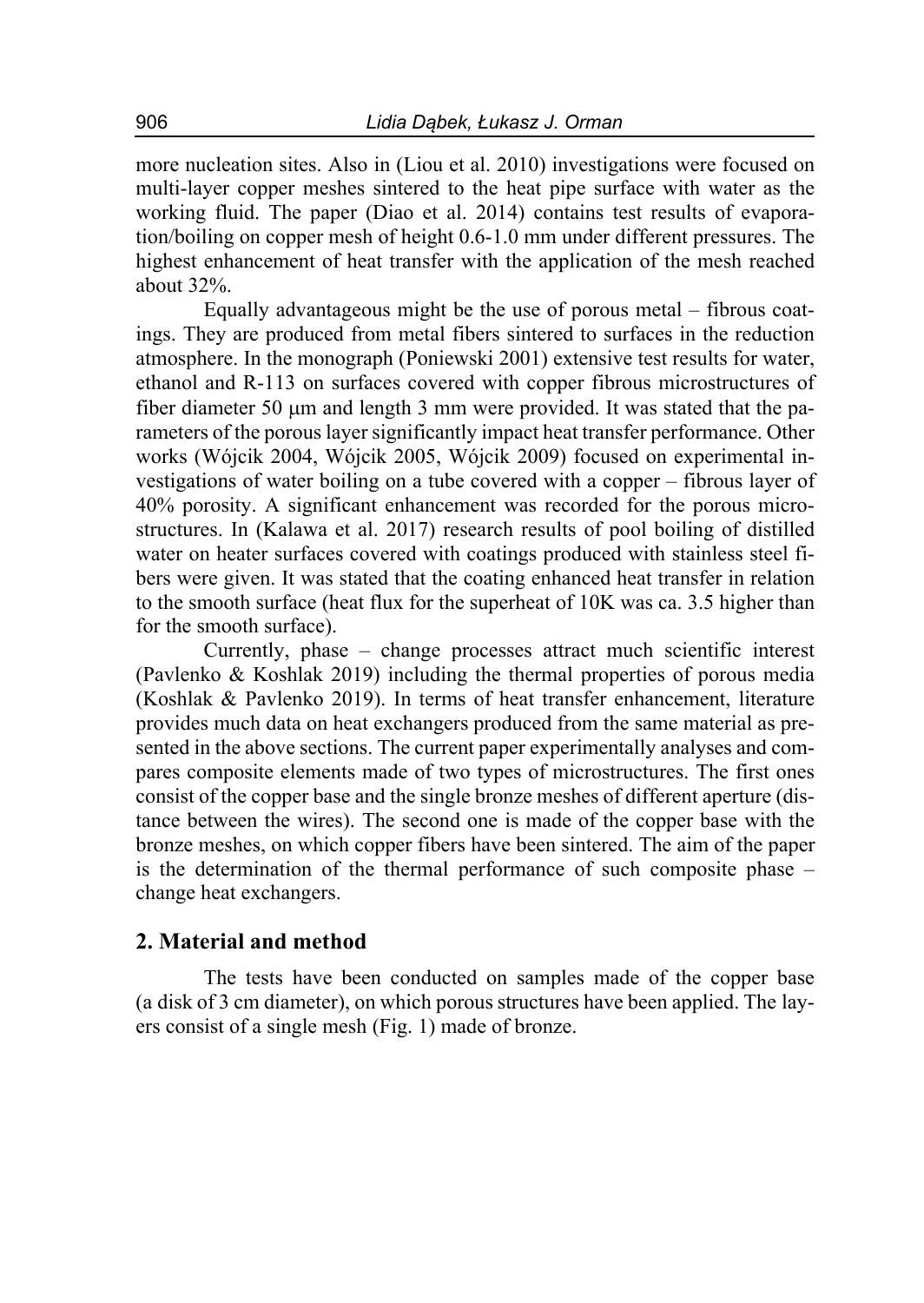more nucleation sites. Also in (Liou et al. 2010) investigations were focused on multi-layer copper meshes sintered to the heat pipe surface with water as the working fluid. The paper (Diao et al. 2014) contains test results of evaporation/boiling on copper mesh of height 0.6-1.0 mm under different pressures. The highest enhancement of heat transfer with the application of the mesh reached about 32%.

Equally advantageous might be the use of porous metal – fibrous coatings. They are produced from metal fibers sintered to surfaces in the reduction atmosphere. In the monograph (Poniewski 2001) extensive test results for water, ethanol and R-113 on surfaces covered with copper fibrous microstructures of fiber diameter 50  $\mu$ m and length 3 mm were provided. It was stated that the parameters of the porous layer significantly impact heat transfer performance. Other works (Wójcik 2004, Wójcik 2005, Wójcik 2009) focused on experimental investigations of water boiling on a tube covered with a copper – fibrous layer of 40% porosity. A significant enhancement was recorded for the porous microstructures. In (Kalawa et al. 2017) research results of pool boiling of distilled water on heater surfaces covered with coatings produced with stainless steel fibers were given. It was stated that the coating enhanced heat transfer in relation to the smooth surface (heat flux for the superheat of 10K was ca. 3.5 higher than for the smooth surface).

Currently, phase – change processes attract much scientific interest (Pavlenko & Koshlak 2019) including the thermal properties of porous media (Koshlak & Pavlenko 2019). In terms of heat transfer enhancement, literature provides much data on heat exchangers produced from the same material as presented in the above sections. The current paper experimentally analyses and compares composite elements made of two types of microstructures. The first ones consist of the copper base and the single bronze meshes of different aperture (distance between the wires). The second one is made of the copper base with the bronze meshes, on which copper fibers have been sintered. The aim of the paper is the determination of the thermal performance of such composite phase – change heat exchangers.

#### **2. Material and method**

The tests have been conducted on samples made of the copper base (a disk of 3 cm diameter), on which porous structures have been applied. The layers consist of a single mesh (Fig. 1) made of bronze.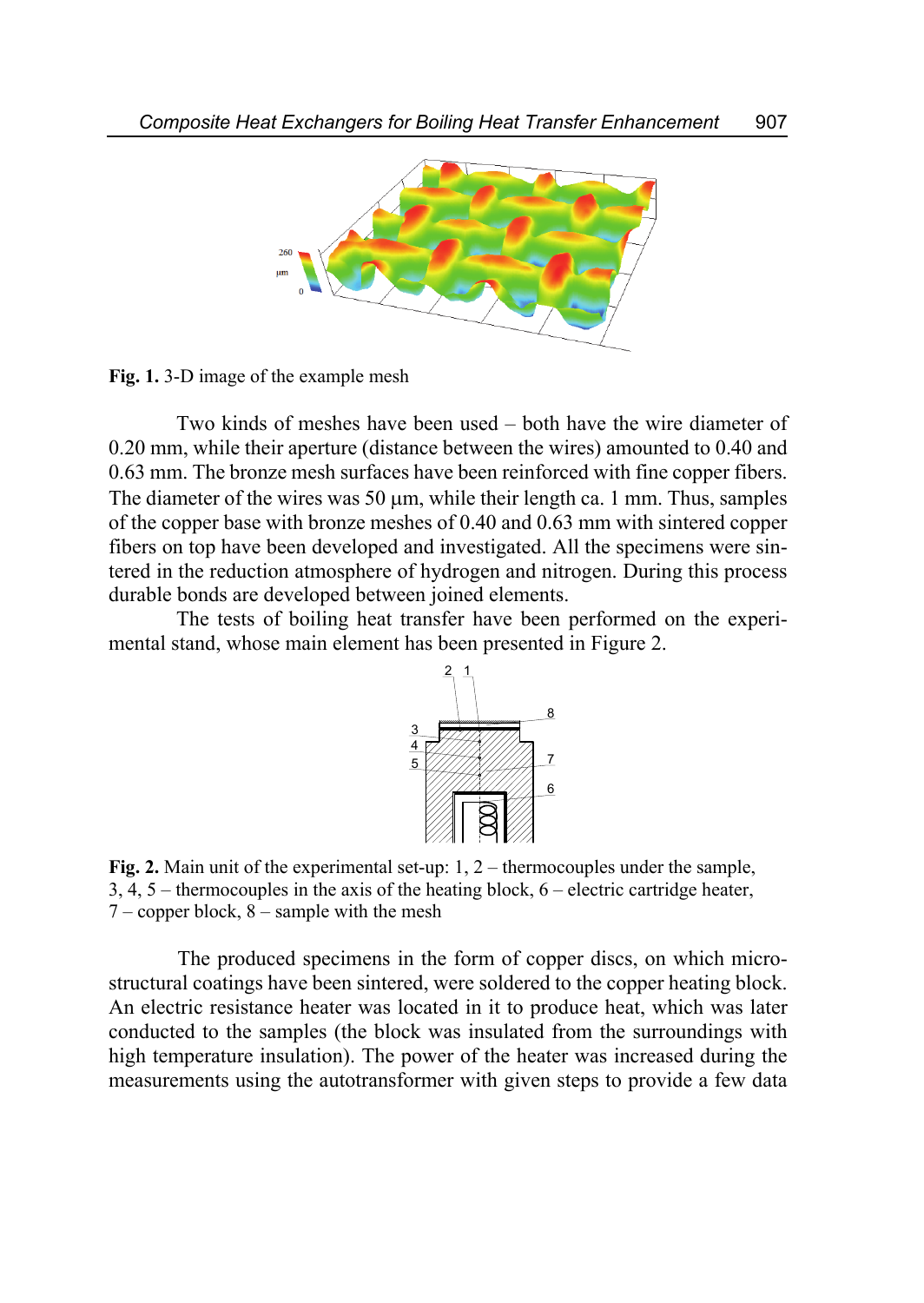

**Fig. 1.** 3-D image of the example mesh

Two kinds of meshes have been used – both have the wire diameter of 0.20 mm, while their aperture (distance between the wires) amounted to 0.40 and 0.63 mm. The bronze mesh surfaces have been reinforced with fine copper fibers. The diameter of the wires was 50  $\mu$ m, while their length ca. 1 mm. Thus, samples of the copper base with bronze meshes of 0.40 and 0.63 mm with sintered copper fibers on top have been developed and investigated. All the specimens were sintered in the reduction atmosphere of hydrogen and nitrogen. During this process durable bonds are developed between joined elements.

The tests of boiling heat transfer have been performed on the experimental stand, whose main element has been presented in Figure 2.



**Fig. 2.** Main unit of the experimental set-up: 1, 2 – thermocouples under the sample, 3, 4, 5 – thermocouples in the axis of the heating block, 6 – electric cartridge heater,  $7$  – copper block,  $8$  – sample with the mesh

 The produced specimens in the form of copper discs, on which microstructural coatings have been sintered, were soldered to the copper heating block. An electric resistance heater was located in it to produce heat, which was later conducted to the samples (the block was insulated from the surroundings with high temperature insulation). The power of the heater was increased during the measurements using the autotransformer with given steps to provide a few data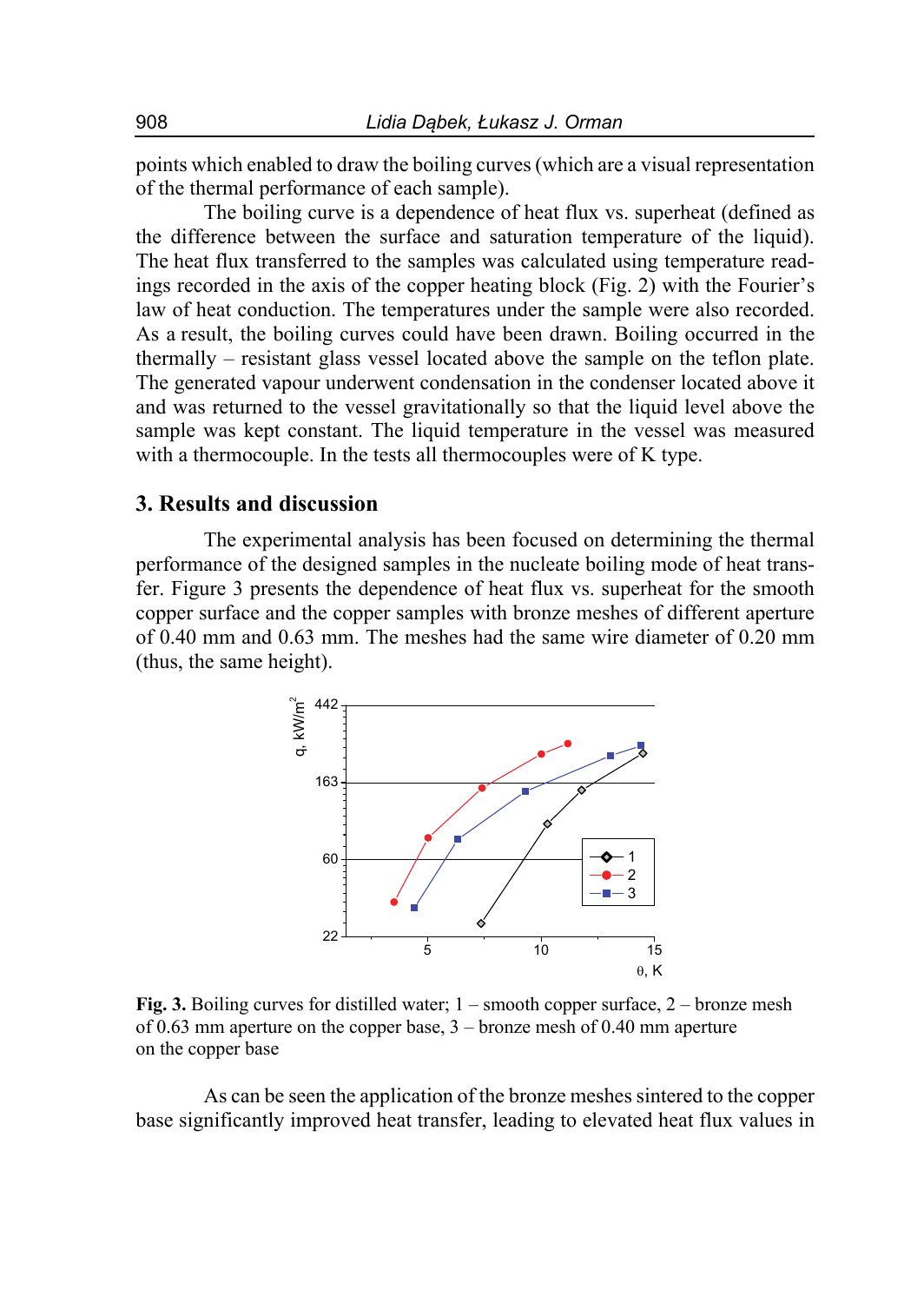points which enabled to draw the boiling curves (which are a visual representation of the thermal performance of each sample).

The boiling curve is a dependence of heat flux vs. superheat (defined as the difference between the surface and saturation temperature of the liquid). The heat flux transferred to the samples was calculated using temperature readings recorded in the axis of the copper heating block (Fig. 2) with the Fourier's law of heat conduction. The temperatures under the sample were also recorded. As a result, the boiling curves could have been drawn. Boiling occurred in the thermally – resistant glass vessel located above the sample on the teflon plate. The generated vapour underwent condensation in the condenser located above it and was returned to the vessel gravitationally so that the liquid level above the sample was kept constant. The liquid temperature in the vessel was measured with a thermocouple. In the tests all thermocouples were of K type.

### **3. Results and discussion**

The experimental analysis has been focused on determining the thermal performance of the designed samples in the nucleate boiling mode of heat transfer. Figure 3 presents the dependence of heat flux vs. superheat for the smooth copper surface and the copper samples with bronze meshes of different aperture of 0.40 mm and 0.63 mm. The meshes had the same wire diameter of 0.20 mm (thus, the same height).



**Fig. 3.** Boiling curves for distilled water; 1 – smooth copper surface, 2 – bronze mesh of 0.63 mm aperture on the copper base, 3 – bronze mesh of 0.40 mm aperture on the copper base

As can be seen the application of the bronze meshes sintered to the copper base significantly improved heat transfer, leading to elevated heat flux values in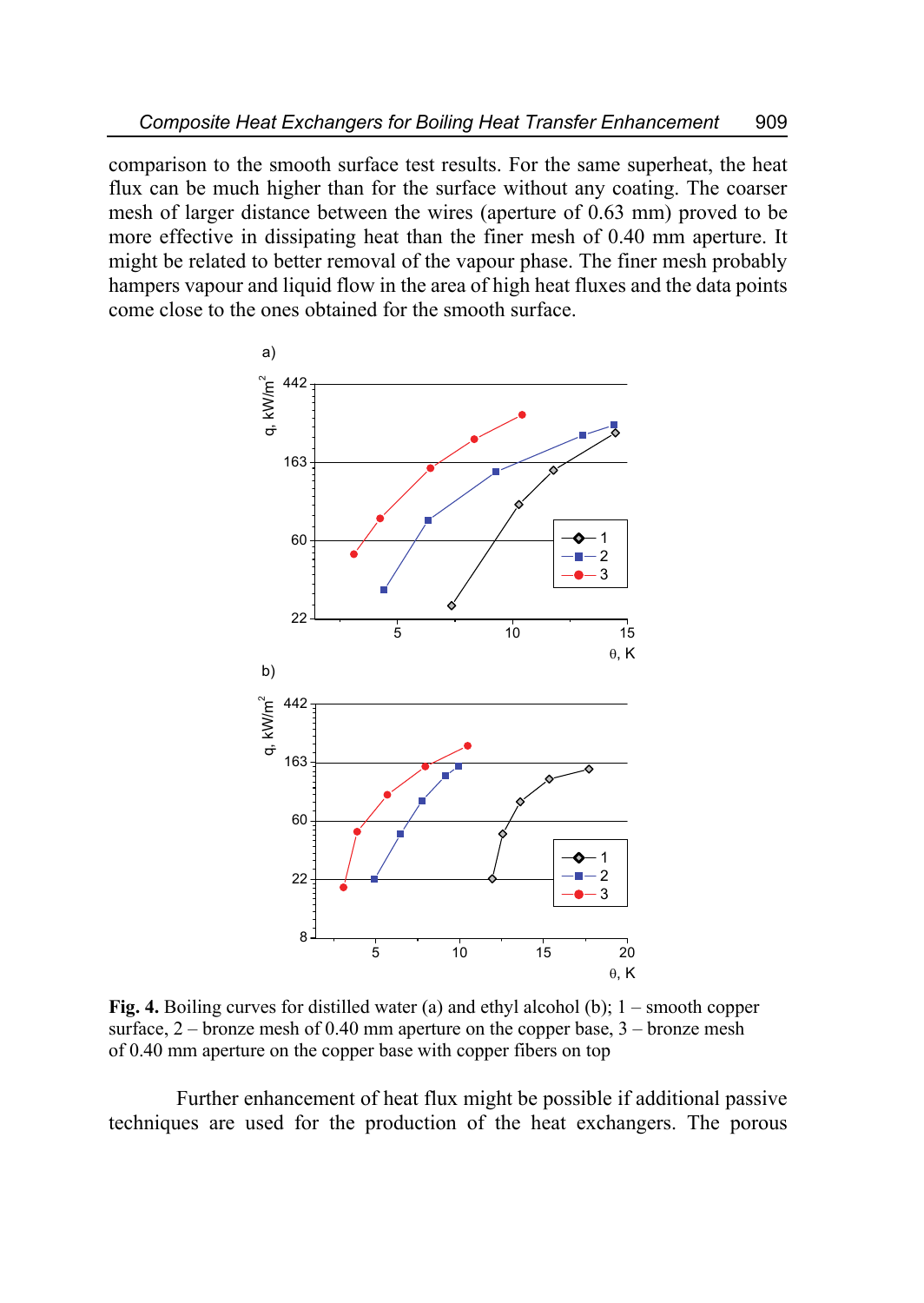comparison to the smooth surface test results. For the same superheat, the heat flux can be much higher than for the surface without any coating. The coarser mesh of larger distance between the wires (aperture of 0.63 mm) proved to be more effective in dissipating heat than the finer mesh of 0.40 mm aperture. It might be related to better removal of the vapour phase. The finer mesh probably hampers vapour and liquid flow in the area of high heat fluxes and the data points come close to the ones obtained for the smooth surface.



**Fig. 4.** Boiling curves for distilled water (a) and ethyl alcohol (b); 1 – smooth copper surface,  $2$  – bronze mesh of 0.40 mm aperture on the copper base,  $3$  – bronze mesh of 0.40 mm aperture on the copper base with copper fibers on top

Further enhancement of heat flux might be possible if additional passive techniques are used for the production of the heat exchangers. The porous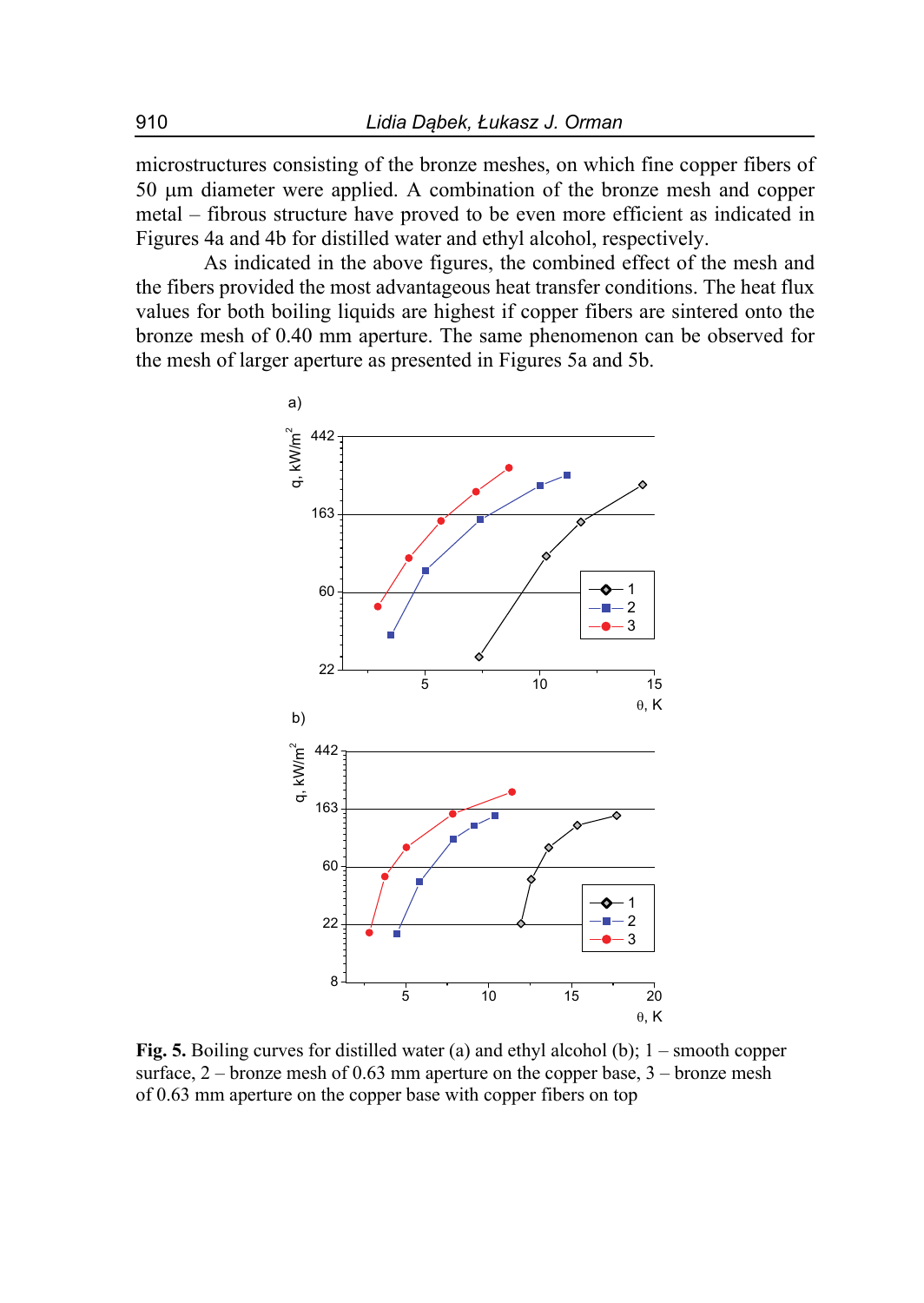microstructures consisting of the bronze meshes, on which fine copper fibers of 50 µm diameter were applied. A combination of the bronze mesh and copper metal – fibrous structure have proved to be even more efficient as indicated in Figures 4a and 4b for distilled water and ethyl alcohol, respectively.

As indicated in the above figures, the combined effect of the mesh and the fibers provided the most advantageous heat transfer conditions. The heat flux values for both boiling liquids are highest if copper fibers are sintered onto the bronze mesh of 0.40 mm aperture. The same phenomenon can be observed for the mesh of larger aperture as presented in Figures 5a and 5b.



**Fig. 5.** Boiling curves for distilled water (a) and ethyl alcohol (b); 1 – smooth copper surface,  $2$  – bronze mesh of 0.63 mm aperture on the copper base,  $3$  – bronze mesh of 0.63 mm aperture on the copper base with copper fibers on top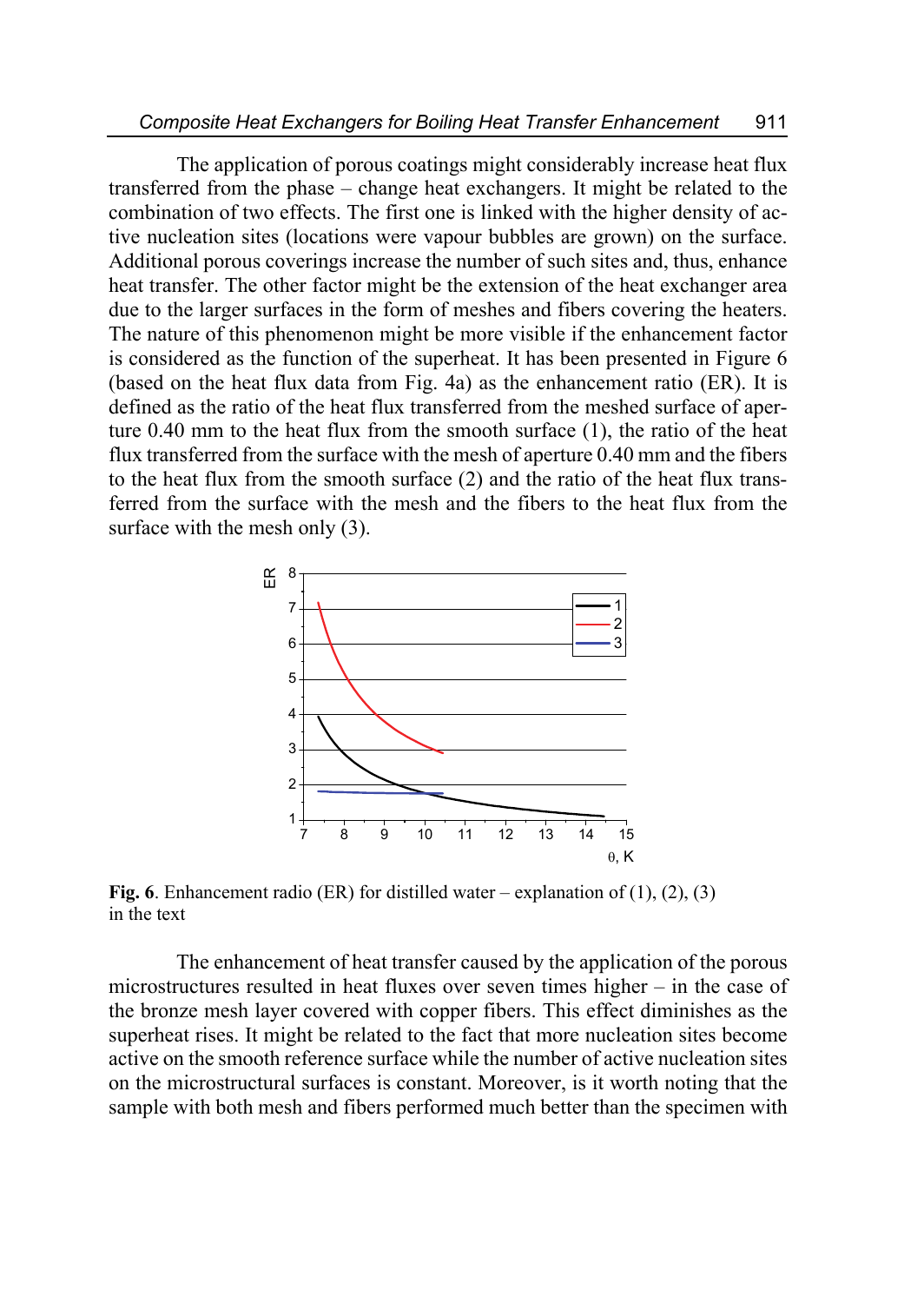The application of porous coatings might considerably increase heat flux transferred from the phase – change heat exchangers. It might be related to the combination of two effects. The first one is linked with the higher density of active nucleation sites (locations were vapour bubbles are grown) on the surface. Additional porous coverings increase the number of such sites and, thus, enhance heat transfer. The other factor might be the extension of the heat exchanger area due to the larger surfaces in the form of meshes and fibers covering the heaters. The nature of this phenomenon might be more visible if the enhancement factor is considered as the function of the superheat. It has been presented in Figure 6 (based on the heat flux data from Fig. 4a) as the enhancement ratio (ER). It is defined as the ratio of the heat flux transferred from the meshed surface of aperture 0.40 mm to the heat flux from the smooth surface (1), the ratio of the heat flux transferred from the surface with the mesh of aperture 0.40 mm and the fibers to the heat flux from the smooth surface (2) and the ratio of the heat flux transferred from the surface with the mesh and the fibers to the heat flux from the surface with the mesh only  $(3)$ .



**Fig. 6**. Enhancement radio (ER) for distilled water – explanation of (1), (2), (3) in the text

The enhancement of heat transfer caused by the application of the porous microstructures resulted in heat fluxes over seven times higher – in the case of the bronze mesh layer covered with copper fibers. This effect diminishes as the superheat rises. It might be related to the fact that more nucleation sites become active on the smooth reference surface while the number of active nucleation sites on the microstructural surfaces is constant. Moreover, is it worth noting that the sample with both mesh and fibers performed much better than the specimen with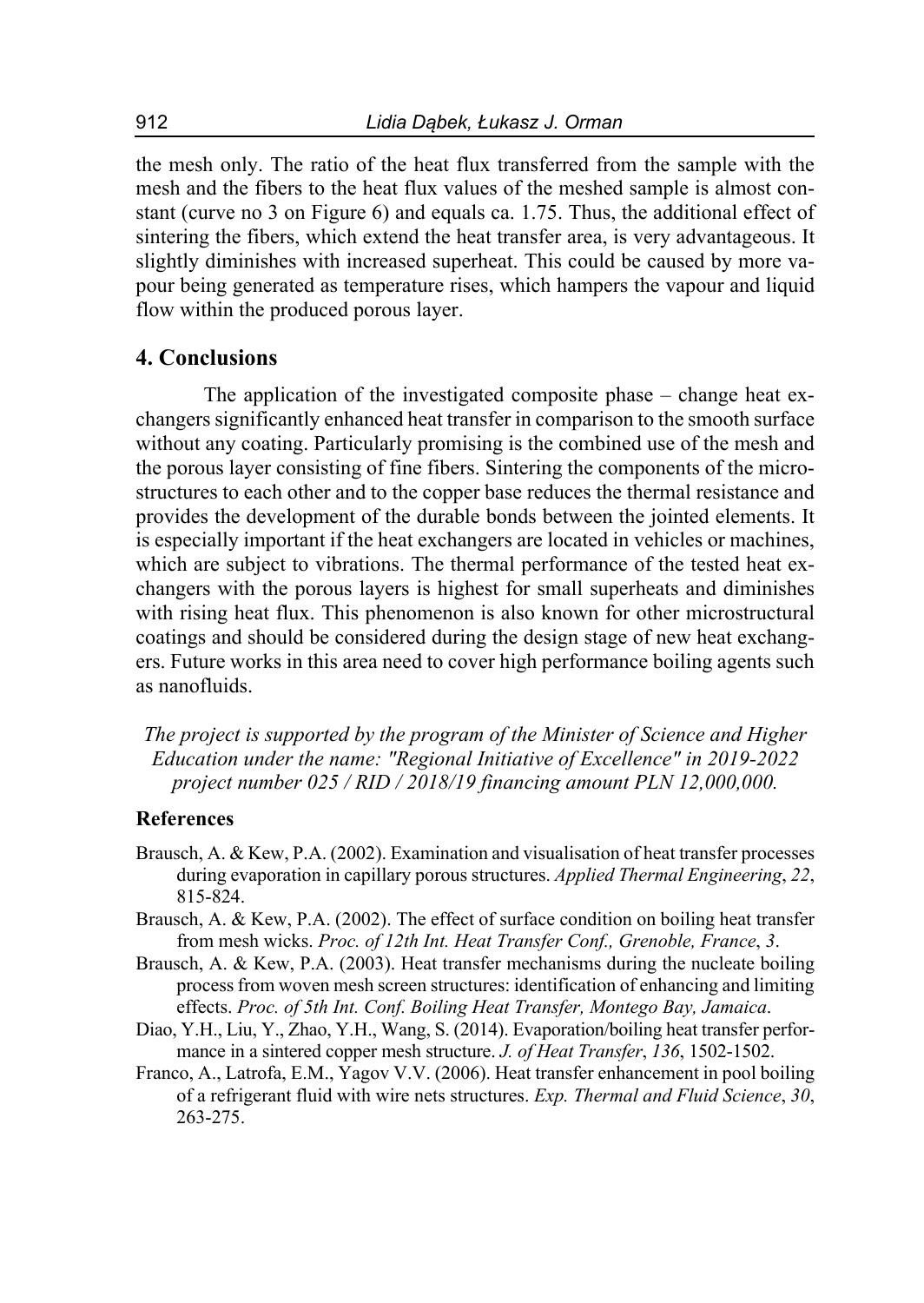the mesh only. The ratio of the heat flux transferred from the sample with the mesh and the fibers to the heat flux values of the meshed sample is almost constant (curve no 3 on Figure 6) and equals ca. 1.75. Thus, the additional effect of sintering the fibers, which extend the heat transfer area, is very advantageous. It slightly diminishes with increased superheat. This could be caused by more vapour being generated as temperature rises, which hampers the vapour and liquid flow within the produced porous layer.

### **4. Conclusions**

The application of the investigated composite phase – change heat exchangers significantly enhanced heat transfer in comparison to the smooth surface without any coating. Particularly promising is the combined use of the mesh and the porous layer consisting of fine fibers. Sintering the components of the microstructures to each other and to the copper base reduces the thermal resistance and provides the development of the durable bonds between the jointed elements. It is especially important if the heat exchangers are located in vehicles or machines, which are subject to vibrations. The thermal performance of the tested heat exchangers with the porous layers is highest for small superheats and diminishes with rising heat flux. This phenomenon is also known for other microstructural coatings and should be considered during the design stage of new heat exchangers. Future works in this area need to cover high performance boiling agents such as nanofluids.

*The project is supported by the program of the Minister of Science and Higher Education under the name: "Regional Initiative of Excellence" in 2019-2022 project number 025 / RID / 2018/19 financing amount PLN 12,000,000.* 

### **References**

- Brausch, A. & Kew, P.A. (2002). Examination and visualisation of heat transfer processes during evaporation in capillary porous structures. *Applied Thermal Engineering*, *22*, 815-824.
- Brausch, A. & Kew, P.A. (2002). The effect of surface condition on boiling heat transfer from mesh wicks. *Proc. of 12th Int. Heat Transfer Conf., Grenoble, France*, *3*.
- Brausch, A. & Kew, P.A. (2003). Heat transfer mechanisms during the nucleate boiling process from woven mesh screen structures: identification of enhancing and limiting effects. *Proc. of 5th Int. Conf. Boiling Heat Transfer, Montego Bay, Jamaica*.
- Diao, Y.H., Liu, Y., Zhao, Y.H., Wang, S. (2014). Evaporation/boiling heat transfer performance in a sintered copper mesh structure. *J. of Heat Transfer*, *136*, 1502-1502.
- Franco, A., Latrofa, E.M., Yagov V.V. (2006). Heat transfer enhancement in pool boiling of a refrigerant fluid with wire nets structures. *Exp. Thermal and Fluid Science*, *30*, 263-275.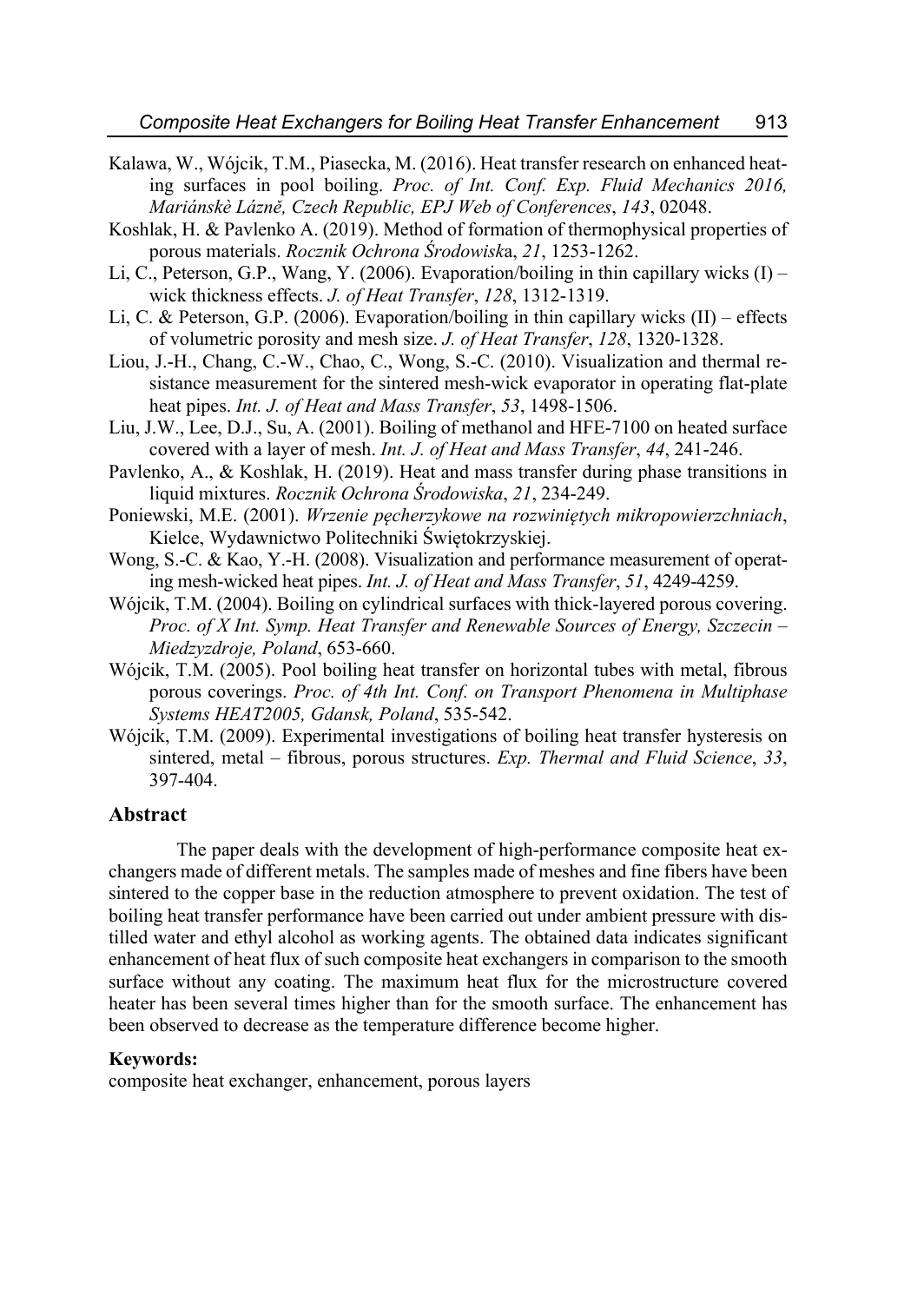- Kalawa, W., Wójcik, T.M., Piasecka, M. (2016). Heat transfer research on enhanced heating surfaces in pool boiling. *Proc. of Int. Conf. Exp. Fluid Mechanics 2016, Mariánskè Lázně, Czech Republic, EPJ Web of Conferences*, *143*, 02048.
- Koshlak, H. & Pavlenko A. (2019). Method of formation of thermophysical properties of porous materials. *Rocznik Ochrona Środowisk*a, *21*, 1253-1262.
- Li, C., Peterson, G.P., Wang, Y. (2006). Evaporation/boiling in thin capillary wicks  $(I)$  wick thickness effects. *J. of Heat Transfer*, *128*, 1312-1319.
- Li, C. & Peterson, G.P. (2006). Evaporation/boiling in thin capillary wicks (II) effects of volumetric porosity and mesh size. *J. of Heat Transfer*, *128*, 1320-1328.
- Liou, J.-H., Chang, C.-W., Chao, C., Wong, S.-C. (2010). Visualization and thermal resistance measurement for the sintered mesh-wick evaporator in operating flat-plate heat pipes. *Int. J. of Heat and Mass Transfer*, *53*, 1498-1506.
- Liu, J.W., Lee, D.J., Su, A. (2001). Boiling of methanol and HFE-7100 on heated surface covered with a layer of mesh. *Int. J. of Heat and Mass Transfer*, *44*, 241-246.
- Pavlenko, A., & Koshlak, H. (2019). Heat and mass transfer during phase transitions in liquid mixtures. *Rocznik Ochrona Środowiska*, *21*, 234-249.
- Poniewski, M.E. (2001). *Wrzenie pęcherzykowe na rozwiniętych mikropowierzchniach*, Kielce, Wydawnictwo Politechniki Świętokrzyskiej.
- Wong, S.-C. & Kao, Y.-H. (2008). Visualization and performance measurement of operating mesh-wicked heat pipes. *Int. J. of Heat and Mass Transfer*, *51*, 4249-4259.
- Wójcik, T.M. (2004). Boiling on cylindrical surfaces with thick-layered porous covering. *Proc. of X Int. Symp. Heat Transfer and Renewable Sources of Energy, Szczecin – Miedzyzdroje, Poland*, 653-660.
- Wójcik, T.M. (2005). Pool boiling heat transfer on horizontal tubes with metal, fibrous porous coverings. *Proc. of 4th Int. Conf. on Transport Phenomena in Multiphase Systems HEAT2005, Gdansk, Poland*, 535-542.
- Wójcik, T.M. (2009). Experimental investigations of boiling heat transfer hysteresis on sintered, metal – fibrous, porous structures. *Exp. Thermal and Fluid Science*, *33*, 397-404.

#### **Abstract**

The paper deals with the development of high-performance composite heat exchangers made of different metals. The samples made of meshes and fine fibers have been sintered to the copper base in the reduction atmosphere to prevent oxidation. The test of boiling heat transfer performance have been carried out under ambient pressure with distilled water and ethyl alcohol as working agents. The obtained data indicates significant enhancement of heat flux of such composite heat exchangers in comparison to the smooth surface without any coating. The maximum heat flux for the microstructure covered heater has been several times higher than for the smooth surface. The enhancement has been observed to decrease as the temperature difference become higher.

#### **Keywords:**

composite heat exchanger, enhancement, porous layers